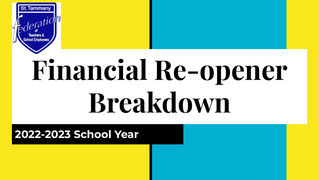

# **Financial Re-opener Breakdown**

#### **2022-2023 School Year**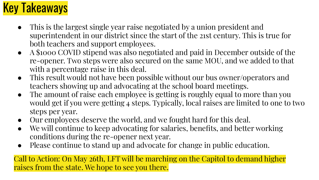# Key Takeaways

- This is the largest single year raise negotiated by a union president and superintendent in our district since the start of the 21st century. This is true for both teachers and support employees.
- A \$1000 COVID stipend was also negotiated and paid in December outside of the re-opener. Two steps were also secured on the same MOU, and we added to that with a percentage raise in this deal.
- This result would not have been possible without our bus owner/operators and teachers showing up and advocating at the school board meetings.
- The amount of raise each employee is getting is roughly equal to more than you would get if you were getting 4 steps. Typically, local raises are limited to one to two steps per year.
- Our employees deserve the world, and we fought hard for this deal.
- We will continue to keep advocating for salaries, benefits, and better working conditions during the re-opener next year.
- Please continue to stand up and advocate for change in public education.

Call to Action: On May 26th, LFT will be marching on the Capitol to demand higher raises from the state. We hope to see you there.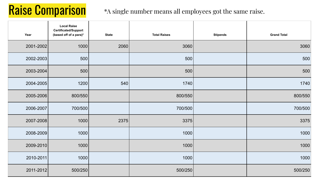### Raise Comparison

#### \*A single number means all employees got the same raise.

| Year      | <b>Local Raise</b><br>Certificated/Support<br>(based off of a para)* | <b>State</b> | <b>Total Raises</b> | <b>Stipends</b> | <b>Grand Total</b> |
|-----------|----------------------------------------------------------------------|--------------|---------------------|-----------------|--------------------|
| 2001-2002 | 1000                                                                 | 2060         | 3060                |                 | 3060               |
| 2002-2003 | 500                                                                  |              | 500                 |                 | 500                |
| 2003-2004 | 500                                                                  |              | 500                 |                 | 500                |
| 2004-2005 | 1200                                                                 | 540          | 1740                |                 | 1740               |
| 2005-2006 | 800/550                                                              |              | 800/550             |                 | 800/550            |
| 2006-2007 | 700/500                                                              |              | 700/500             |                 | 700/500            |
| 2007-2008 | 1000                                                                 | 2375         | 3375                |                 | 3375               |
| 2008-2009 | 1000                                                                 |              | 1000                |                 | 1000               |
| 2009-2010 | 1000                                                                 |              | 1000                |                 | 1000               |
| 2010-2011 | 1000                                                                 |              | 1000                |                 | 1000               |
| 2011-2012 | 500/250                                                              |              | 500/250             |                 | 500/250            |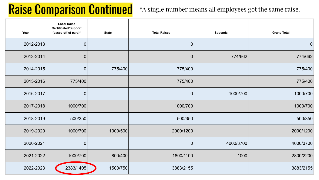### Raise Comparison Continued

#### \*A single number means all employees got the same raise.

| Year      | <b>Local Raise</b><br>Certificated/Support<br>(based off of para)* | <b>State</b> | <b>Total Raises</b> | <b>Stipends</b> | <b>Grand Total</b> |
|-----------|--------------------------------------------------------------------|--------------|---------------------|-----------------|--------------------|
| 2012-2013 | $\mathbf 0$                                                        |              | $\pmb{0}$           |                 | $\mathbf 0$        |
| 2013-2014 | 0                                                                  |              | $\mathbf 0$         | 774/662         | 774/662            |
| 2014-2015 | $\mathbf 0$                                                        | 775/400      | 775/400             |                 | 775/400            |
| 2015-2016 | 775/400                                                            |              | 775/400             |                 | 775/400            |
| 2016-2017 | 0                                                                  |              | $\mathbf 0$         | 1000/700        | 1000/700           |
| 2017-2018 | 1000/700                                                           |              | 1000/700            |                 | 1000/700           |
| 2018-2019 | 500/350                                                            |              | 500/350             |                 | 500/350            |
| 2019-2020 | 1000/700                                                           | 1000/500     | 2000/1200           |                 | 2000/1200          |
| 2020-2021 | 0                                                                  |              | $\mathbf 0$         | 4000/3700       | 4000/3700          |
| 2021-2022 | 1000/700                                                           | 800/400      | 1800/1100           | 1000            | 2800/2200          |
| 2022-2023 | 2383/1405                                                          | 1500/750     | 3883/2155           |                 | 3883/2155          |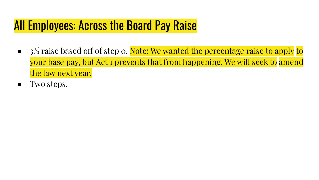#### All Employees: Across the Board Pay Raise

- 3% raise based off of step o. Note: We wanted the percentage raise to apply to your base pay, but Act 1 prevents that from happening. We will seek to amend the law next year.
- Two steps.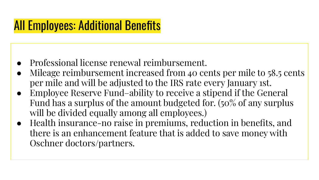#### All Employees: Additional Benefits

- Professional license renewal reimbursement.
- Mileage reimbursement increased from 40 cents per mile to 58.5 cents per mile and will be adjusted to the IRS rate every January 1st.
- Employee Reserve Fund–ability to receive a stipend if the General Fund has a surplus of the amount budgeted for. (50% of any surplus will be divided equally among all employees.)
- Health insurance-no raise in premiums, reduction in benefits, and there is an enhancement feature that is added to save money with Oschner doctors/partners.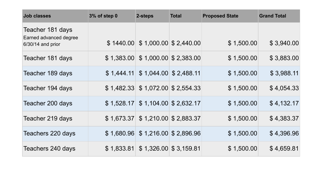| <b>Job classes</b>                                                | 3% of step 0 | 2-steps                           | <b>Total</b>            | <b>Proposed State</b> | <b>Grand Total</b> |
|-------------------------------------------------------------------|--------------|-----------------------------------|-------------------------|-----------------------|--------------------|
| Teacher 181 days<br>Earned advanced degree<br>$6/30/14$ and prior | \$1440.00    |                                   | $$1,000.00 \ $2,440.00$ | \$1,500.00            | \$3,940.00         |
| Teacher 181 days                                                  |              | $$1,383.00 \$1,000.00 \$2,383.00$ |                         | \$1,500.00            | \$3,883.00         |
| Teacher 189 days                                                  | \$1,444.11   |                                   | $$1,044.00 \ $2,488.11$ | \$1,500.00            | \$3,988.11         |
| Teacher 194 days                                                  | \$1,482.33   |                                   | $$1,072.00 \ $2,554.33$ | \$1,500.00            | \$4,054.33         |
| Teacher 200 days                                                  | \$1,528.17   |                                   | $$1,104.00 \ $2,632.17$ | \$1,500.00            | \$4,132.17         |
| Teacher 219 days                                                  | \$1,673.37   |                                   | $$1,210.00 \ $2,883.37$ | \$1,500.00            | \$4,383.37         |
| Teachers 220 days                                                 | \$1,680.96   |                                   | $$1,216.00 \ $2,896.96$ | \$1,500.00            | \$4,396.96         |
| Teachers 240 days                                                 | \$1,833.81   |                                   | $$1,326.00 \ $3,159.81$ | \$1,500.00            | \$4,659.81         |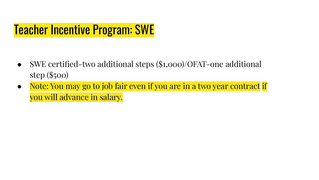### Teacher Incentive Program: SWE

- SWE certified-two additional steps  $($1,000)/OFAT$ -one additional step (\$500)
- Note: You may go to job fair even if you are in a two year contract if you will advance in salary.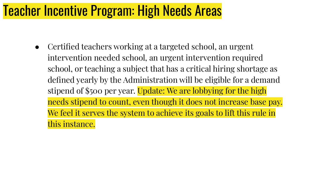# Teacher Incentive Program: High Needs Areas

• Certified teachers working at a targeted school, an urgent intervention needed school, an urgent intervention required school, or teaching a subject that has a critical hiring shortage as defined yearly by the Administration will be eligible for a demand stipend of \$500 per year. Update: We are lobbying for the high needs stipend to count, even though it does not increase base pay. We feel it serves the system to achieve its goals to lift this rule in this instance.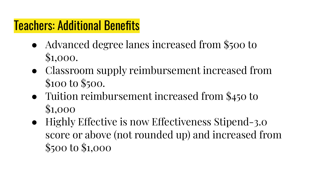#### Teachers: Additional Benefits

- Advanced degree lanes increased from \$500 to \$1,000.
- Classroom supply reimbursement increased from \$100 to \$500.
- Tuition reimbursement increased from \$450 to \$1,000
- Highly Effective is now Effectiveness Stipend-3.0 score or above (not rounded up) and increased from \$500 to \$1,000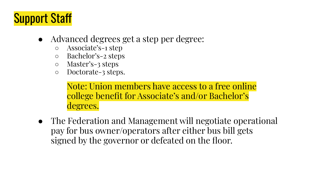# Support Staff

- Advanced degrees get a step per degree:
	- Associate's-1 step
	- Bachelor's-2 steps
	- Master's-3 steps
	- Doctorate-3 steps.

Note: Union members have access to a free online college benefit for Associate's and/or Bachelor's degrees.

• The Federation and Management will negotiate operational pay for bus owner/operators after either bus bill gets signed by the governor or defeated on the floor.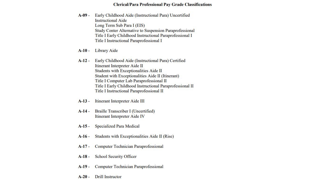#### **Clerical/Para Professional Pay Grade Classifications**

- Early Childhood Aide (Instructional Para) Uncertified  $A-09-$ **Instructional Aide** Long Term Sub Para I (EIS) Study Center Alternative to Suspension Paraprofessional Title I Early Childhood Instructional Paraprofessional I Title I Instructional Paraprofessional I
- $A-10-$ **Library Aide**
- $A-12-$ Early Childhood Aide (Instructional Para) Certified Itinerant Interpreter Aide II Students with Exceptionalities Aide II Student with Exceptionalities Aide II (Itinerant) Title I Computer Lab Paraprofessional II Title I Early Childhood Instructional Paraprofessional II Title I Instructional Paraprofessional II
- $A-13-$ Itinerant Interpreter Aide III
- $A-14-$ Braille Transcriber I (Uncertified) Itinerant Interpreter Aide IV
- $A-15 -$ **Specialized Para Medical**
- Students with Exceptionalities Aide II (Rise)  $A-16-$
- $A-17-$ Computer Technician Paraprofessional
- **School Security Officer**  $A-18-$
- $A-19-$ **Computer Technician Paraprofessional**
- **Drill Instructor**  $A-20-$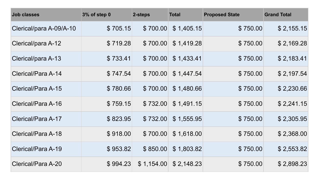| <b>Job classes</b>      | 3% of step 0 | 2-steps    | <b>Total</b> | <b>Proposed State</b> | <b>Grand Total</b> |
|-------------------------|--------------|------------|--------------|-----------------------|--------------------|
| Clerical/para A-09/A-10 | \$705.15     | \$700.00   | \$1,405.15   | \$750.00              | \$2,155.15         |
| Clerical/para A-12      | \$719.28     | \$700.00   | \$1,419.28   | \$750.00              | \$2,169.28         |
| Clerical/para A-13      | \$733.41     | \$700.00   | \$1,433.41   | \$750.00              | \$2,183.41         |
| Clerical/Para A-14      | \$747.54     | \$700.00   | \$1,447.54   | \$750.00              | \$2,197.54         |
| Clerical/Para A-15      | \$780.66     | \$700.00   | \$1,480.66   | \$750.00              | \$2,230.66         |
| Clerical/Para A-16      | \$759.15     | \$732.00   | \$1,491.15   | \$750.00              | \$2,241.15         |
| Clerical/Para A-17      | \$823.95     | \$732.00   | \$1,555.95   | \$750.00              | \$2,305.95         |
| Clerical/Para A-18      | \$918.00     | \$700.00   | \$1,618.00   | \$750.00              | \$2,368.00         |
| Clerical/Para A-19      | \$953.82     | \$850.00   | \$1,803.82   | \$750.00              | \$2,553.82         |
| Clerical/Para A-20      | \$994.23     | \$1,154.00 | \$2,148.23   | \$750.00              | \$2,898.23         |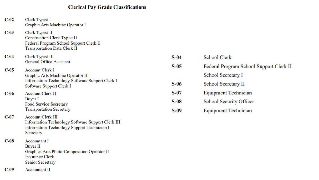#### **Clerical Pay Grade Classifications**

| $C-02$  | Clerk Typist I<br>Graphic Arts Machine Operator I                                                                                          |
|---------|--------------------------------------------------------------------------------------------------------------------------------------------|
| $C-03$  | Clerk Typist II<br><b>Construction Clerk Typist II</b><br>Federal Program School Support Clerk II<br><b>Transportation Data Clerk II</b>   |
| $C-04$  | Clerk Typist III<br><b>General Office Assistant</b>                                                                                        |
| $C-0.5$ | <b>Account Clerk I</b><br>Graphic Arts Machine Operator II<br>Information Technology Software Support Clerk I<br>Software Support Clerk I  |
| $C-06$  | <b>Account Clerk II</b><br><b>Buyer</b> I<br><b>Food Service Secretary</b><br><b>Transportation Secretary</b>                              |
| $C-07$  | <b>Account Clerk III</b><br>Information Technology Software Support Clerk III<br>Information Technology Support Technician I<br>Secretary  |
| $C-08$  | <b>Accountant</b> I<br><b>Buyer II</b><br>Graphics Arts Photo-Composition Operator II<br><b>Insurance Clerk</b><br><b>Senior Secretary</b> |
| $C-09$  | <b>Accountant II</b>                                                                                                                       |

| $S-04$  | <b>School Clerk</b>                     |
|---------|-----------------------------------------|
| $S-0.5$ | Federal Program School Support Clerk II |
|         | School Secretary I                      |
| $S-06$  | School Secretary II                     |
| $S-07$  | <b>Equipment Technician</b>             |
| $S-08$  | School Security Officer                 |
| $S-09$  | <b>Equipment Technician</b>             |
|         |                                         |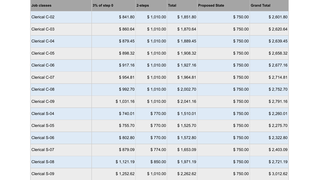| <b>Job classes</b> | 3% of step 0 | 2-steps    | <b>Total</b> | <b>Proposed State</b> | <b>Grand Total</b> |
|--------------------|--------------|------------|--------------|-----------------------|--------------------|
| Clerical C-02      | \$841.80     | \$1,010.00 | \$1,851.80   | \$750.00              | \$2,601.80         |
| Clerical C-03      | \$860.64     | \$1,010.00 | \$1,870.64   | \$750.00              | \$2,620.64         |
| Clerical C-04      | \$879.45     | \$1,010.00 | \$1,889.45   | \$750.00              | \$2,639.45         |
| Clerical C-05      | \$898.32     | \$1,010.00 | \$1,908.32   | \$750.00              | \$2,658.32         |
| Clerical C-06      | \$917.16     | \$1,010.00 | \$1,927.16   | \$750.00              | \$2,677.16         |
| Clerical C-07      | \$954.81     | \$1,010.00 | \$1,964.81   | \$750.00              | \$2,714.81         |
| Clerical C-08      | \$992.70     | \$1,010.00 | \$2,002.70   | \$750.00              | \$2,752.70         |
| Clerical C-09      | \$1,031.16   | \$1,010.00 | \$2,041.16   | \$750.00              | \$2,791.16         |
| Clerical S-04      | \$740.01     | \$770.00   | \$1,510.01   | \$750.00              | \$2,260.01         |
| Clerical S-05      | \$755.70     | \$770.00   | \$1,525.70   | \$750.00              | \$2,275.70         |
| Clerical S-06      | \$802.80     | \$770.00   | \$1,572.80   | \$750.00              | \$2,322.80         |
| Clerical S-07      | \$879.09     | \$774.00   | \$1,653.09   | \$750.00              | \$2,403.09         |
| Clerical S-08      | \$1,121.19   | \$850.00   | \$1,971.19   | \$750.00              | \$2,721.19         |
| Clerical S-09      | \$1,252.62   | \$1,010.00 | \$2,262.62   | \$750.00              | \$3,012.62         |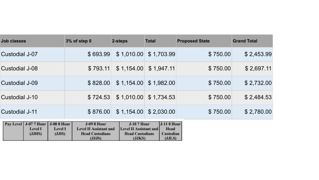| Job classes                                                                                                          | 3% of step 0                                                                            | 2-steps                                                                                 | <b>Total</b>                                                   | <b>Proposed State</b> | <b>Grand Total</b> |
|----------------------------------------------------------------------------------------------------------------------|-----------------------------------------------------------------------------------------|-----------------------------------------------------------------------------------------|----------------------------------------------------------------|-----------------------|--------------------|
| Custodial J-07                                                                                                       | \$693.99                                                                                | \$1,010.00                                                                              | \$1,703.99                                                     | \$750.00              | \$2,453.99         |
| Custodial J-08                                                                                                       | \$793.11                                                                                | \$1,154.00                                                                              | \$1,947.11                                                     | \$750.00              | \$2,697.11         |
| Custodial J-09                                                                                                       | \$828.00                                                                                | \$1,154.00                                                                              | \$1,982.00                                                     | \$750.00              | \$2,732.00         |
| Custodial J-10                                                                                                       | \$724.53                                                                                | \$1,010.00                                                                              | \$1,734.53                                                     | \$750.00              | \$2,484.53         |
| Custodial J-11                                                                                                       | \$876.00                                                                                |                                                                                         | $$1,154.00 \$2,030.00$                                         | \$750.00              | \$2,780.00         |
| <b>J-08 8 Hour</b><br><b>J-07 7 Hour</b><br><b>Pay Level</b><br><b>Level I</b><br><b>Level I</b><br>(JJHS)<br>(JJIS) | <b>J-09 8 Hour</b><br><b>Level II Assistant and</b><br><b>Head Custodians</b><br>(JJJS) | <b>J-10 7 Hour</b><br><b>Level II Assistant and</b><br><b>Head Custodians</b><br>(JJKS) | <b>J-118 Hour</b><br><b>Head</b><br><b>Custodian</b><br>(JJLS) |                       |                    |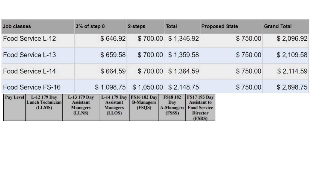| <b>Job classes</b> |                                                   | 3% of step 0                                                  |                                                               | 2-steps                                            | <b>Total</b>                                          |            | <b>Proposed State</b>                                                                          | <b>Grand Total</b> |
|--------------------|---------------------------------------------------|---------------------------------------------------------------|---------------------------------------------------------------|----------------------------------------------------|-------------------------------------------------------|------------|------------------------------------------------------------------------------------------------|--------------------|
|                    | Food Service L-12                                 |                                                               | \$646.92                                                      | \$700.00                                           |                                                       | \$1,346.92 | \$750.00                                                                                       | \$2,096.92         |
|                    | Food Service L-13                                 |                                                               | \$659.58                                                      | \$700.00                                           |                                                       | \$1,359.58 | \$750.00                                                                                       | \$2,109.58         |
|                    | Food Service L-14                                 |                                                               | \$664.59                                                      | \$700.00                                           |                                                       | \$1,364.59 | \$750.00                                                                                       | \$2,114.59         |
|                    | Food Service FS-16                                |                                                               | \$1,098.75                                                    | \$1,050.00                                         |                                                       | \$2,148.75 | \$750.00                                                                                       | \$2,898.75         |
| <b>Pay Level</b>   | L-12 179 Day<br><b>Lunch Technician</b><br>(LLMS) | L-13 179 Day<br><b>Assistant</b><br><b>Managers</b><br>(LLNS) | L-14 179 Day<br><b>Assistant</b><br><b>Managers</b><br>(LLOS) | <b>FS16 182 Day</b><br><b>B-Managers</b><br>(FSQS) | <b>FS18 182</b><br>Day<br><b>A-Managers</b><br>(FSSS) |            | <b>FS17 193 Day</b><br><b>Assistant to</b><br><b>Food Service</b><br><b>Director</b><br>(FSRS) |                    |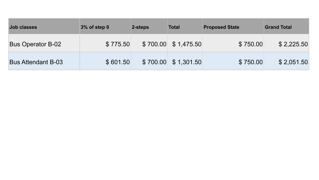| <b>Job classes</b>        | 3% of step 0 | 2-steps  | <b>Total</b>         | <b>Proposed State</b> | <b>Grand Total</b> |
|---------------------------|--------------|----------|----------------------|-----------------------|--------------------|
| <b>Bus Operator B-02</b>  | \$775.50     |          | $$700.00 \$1,475.50$ | \$750.00              | \$2,225.50         |
| <b>Bus Attendant B-03</b> | \$601.50     | \$700.00 | \$1,301.50           | \$750.00              | \$2,051.50         |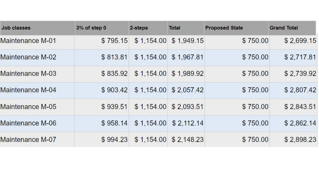| <b>Job classes</b> | 3% of step 0 | 2-steps | <b>Total</b>            | <b>Proposed State</b> | <b>Grand Total</b> |
|--------------------|--------------|---------|-------------------------|-----------------------|--------------------|
| Maintenance M-01   | \$795.15     |         | $$1,154.00$ $$1,949.15$ | \$750.00              | \$2,699.15         |
| Maintenance M-02   | \$813.81     |         | \$1,154.00 \$1,967.81   | \$750.00              | \$2,717.81         |
| Maintenance M-03   | \$835.92     |         | \$1,154.00 \$1,989.92   | \$750.00              | \$2,739.92         |
| Maintenance M-04   | \$903.42     |         | $$1,154.00$ $$2,057.42$ | \$750.00              | \$2,807.42         |
| Maintenance M-05   | \$939.51     |         | $$1,154.00$ $$2,093.51$ | \$750.00              | \$2,843.51         |
| Maintenance M-06   | \$958.14     |         | $$1,154.00$ $$2,112.14$ | \$750.00              | \$2,862.14         |
| Maintenance M-07   | \$994.23     |         | $$1,154.00$ $$2,148.23$ | \$750.00              | \$2,898.23         |